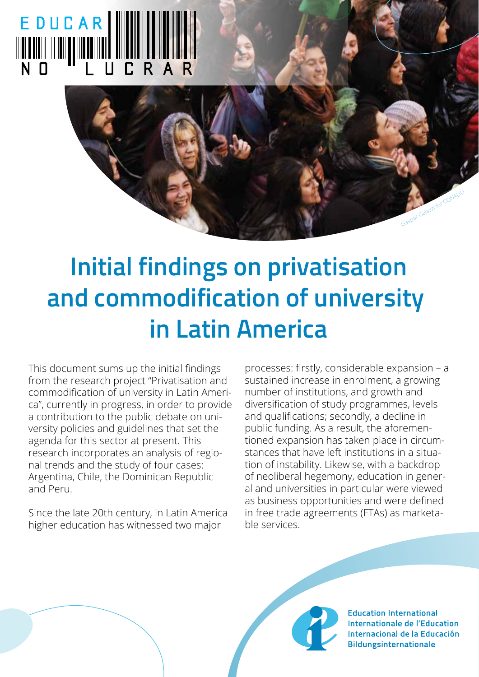



# **Initial findings on privatisation and commodification of university in Latin America**

This document sums up the initial findings from the research project "Privatisation and commodification of university in Latin America", currently in progress, in order to provide a contribution to the public debate on university policies and guidelines that set the agenda for this sector at present. This research incorporates an analysis of regional trends and the study of four cases: Argentina, Chile, the Dominican Republic and Peru.

Since the late 20th century, in Latin America higher education has witnessed two major

processes: firstly, considerable expansion – a sustained increase in enrolment, a growing number of institutions, and growth and diversification of study programmes, levels and qualifications; secondly, a decline in public funding. As a result, the aforementioned expansion has taken place in circumstances that have left institutions in a situation of instability. Likewise, with a backdrop of neoliberal hegemony, education in general and universities in particular were viewed as business opportunities and were defined in free trade agreements (FTAs) as marketable services.

> **Education International Internationale de l'Education** Internacional de la Educación **Bildungsinternationale**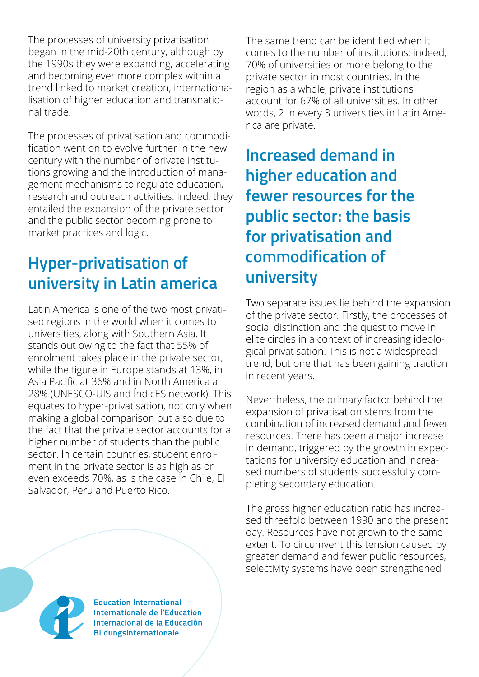The processes of university privatisation began in the mid-20th century, although by the 1990s they were expanding, accelerating and becoming ever more complex within a trend linked to market creation, internationalisation of higher education and transnational trade.

The processes of privatisation and commodification went on to evolve further in the new century with the number of private institutions growing and the introduction of management mechanisms to regulate education, research and outreach activities. Indeed, they entailed the expansion of the private sector and the public sector becoming prone to market practices and logic.

## **Hyper-privatisation of university in Latin america**

Latin America is one of the two most privatised regions in the world when it comes to universities, along with Southern Asia. It stands out owing to the fact that 55% of enrolment takes place in the private sector, while the figure in Europe stands at 13%, in Asia Pacific at 36% and in North America at 28% (UNESCO-UIS and ÍndicES network). This equates to hyper-privatisation, not only when making a global comparison but also due to the fact that the private sector accounts for a higher number of students than the public sector. In certain countries, student enrolment in the private sector is as high as or even exceeds 70%, as is the case in Chile, El Salvador, Peru and Puerto Rico.

The same trend can be identified when it comes to the number of institutions; indeed, 70% of universities or more belong to the private sector in most countries. In the region as a whole, private institutions account for 67% of all universities. In other words, 2 in every 3 universities in Latin America are private.

**Increased demand in higher education and fewer resources for the public sector: the basis for privatisation and commodification of university**

Two separate issues lie behind the expansion of the private sector. Firstly, the processes of social distinction and the quest to move in elite circles in a context of increasing ideological privatisation. This is not a widespread trend, but one that has been gaining traction in recent years.

Nevertheless, the primary factor behind the expansion of privatisation stems from the combination of increased demand and fewer resources. There has been a major increase in demand, triggered by the growth in expectations for university education and increased numbers of students successfully completing secondary education.

The gross higher education ratio has increased threefold between 1990 and the present day. Resources have not grown to the same extent. To circumvent this tension caused by greater demand and fewer public resources, selectivity systems have been strengthened



**Education International Internationale de l'Education** Internacional de la Educación **Bildungsinternationale**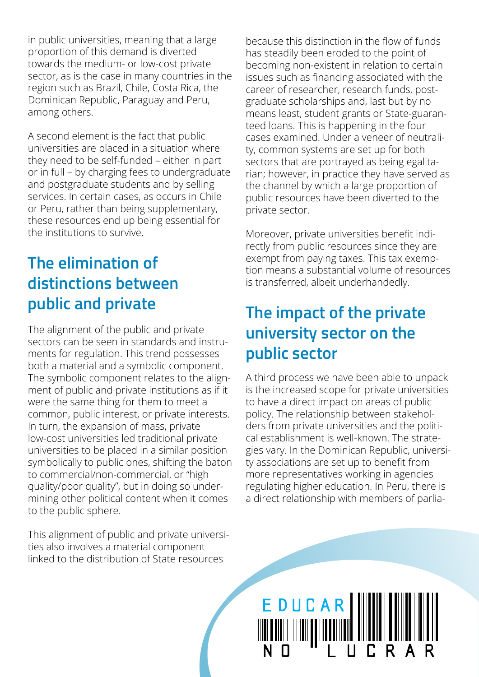in public universities, meaning that a large proportion of this demand is diverted towards the medium- or low-cost private sector, as is the case in many countries in the region such as Brazil, Chile, Costa Rica, the Dominican Republic, Paraguay and Peru, among others.

A second element is the fact that public universities are placed in a situation where they need to be self-funded – either in part or in full – by charging fees to undergraduate and postgraduate students and by selling services. In certain cases, as occurs in Chile or Peru, rather than being supplementary, these resources end up being essential for the institutions to survive.

## **The elimination of distinctions between public and private**

The alignment of the public and private sectors can be seen in standards and instruments for regulation. This trend possesses both a material and a symbolic component. The symbolic component relates to the alignment of public and private institutions as if it were the same thing for them to meet a common, public interest, or private interests. In turn, the expansion of mass, private low-cost universities led traditional private universities to be placed in a similar position symbolically to public ones, shifting the baton to commercial/non-commercial, or "high quality/poor quality", but in doing so undermining other political content when it comes to the public sphere.

This alignment of public and private universities also involves a material component linked to the distribution of State resources

because this distinction in the flow of funds has steadily been eroded to the point of becoming non-existent in relation to certain issues such as financing associated with the career of researcher, research funds, postgraduate scholarships and, last but by no means least, student grants or State-guaranteed loans. This is happening in the four cases examined. Under a veneer of neutrality, common systems are set up for both sectors that are portrayed as being egalitarian; however, in practice they have served as the channel by which a large proportion of public resources have been diverted to the private sector.

Moreover, private universities benefit indirectly from public resources since they are exempt from paying taxes. This tax exemption means a substantial volume of resources is transferred, albeit underhandedly.

## **The impact of the private university sector on the public sector**

A third process we have been able to unpack is the increased scope for private universities to have a direct impact on areas of public policy. The relationship between stakeholders from private universities and the political establishment is well-known. The strategies vary. In the Dominican Republic, university associations are set up to benefit from more representatives working in agencies regulating higher education. In Peru, there is a direct relationship with members of parlia-